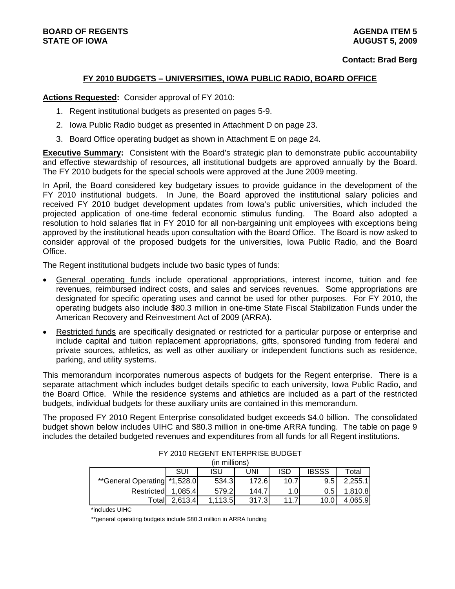## **FY 2010 BUDGETS – UNIVERSITIES, IOWA PUBLIC RADIO, BOARD OFFICE**

**Actions Requested:** Consider approval of FY 2010:

- 1. Regent institutional budgets as presented on pages 5-9.
- 2. Iowa Public Radio budget as presented in Attachment D on page 23.
- 3. Board Office operating budget as shown in Attachment E on page 24.

**Executive Summary:** Consistent with the Board's strategic plan to demonstrate public accountability and effective stewardship of resources, all institutional budgets are approved annually by the Board. The FY 2010 budgets for the special schools were approved at the June 2009 meeting.

In April, the Board considered key budgetary issues to provide guidance in the development of the FY 2010 institutional budgets. In June, the Board approved the institutional salary policies and received FY 2010 budget development updates from Iowa's public universities, which included the projected application of one-time federal economic stimulus funding. The Board also adopted a resolution to hold salaries flat in FY 2010 for all non-bargaining unit employees with exceptions being approved by the institutional heads upon consultation with the Board Office. The Board is now asked to consider approval of the proposed budgets for the universities, Iowa Public Radio, and the Board Office.

The Regent institutional budgets include two basic types of funds:

- General operating funds include operational appropriations, interest income, tuition and fee revenues, reimbursed indirect costs, and sales and services revenues. Some appropriations are designated for specific operating uses and cannot be used for other purposes. For FY 2010, the operating budgets also include \$80.3 million in one-time State Fiscal Stabilization Funds under the American Recovery and Reinvestment Act of 2009 (ARRA).
- Restricted funds are specifically designated or restricted for a particular purpose or enterprise and include capital and tuition replacement appropriations, gifts, sponsored funding from federal and private sources, athletics, as well as other auxiliary or independent functions such as residence, parking, and utility systems.

This memorandum incorporates numerous aspects of budgets for the Regent enterprise. There is a separate attachment which includes budget details specific to each university, Iowa Public Radio, and the Board Office. While the residence systems and athletics are included as a part of the restricted budgets, individual budgets for these auxiliary units are contained in this memorandum.

The proposed FY 2010 Regent Enterprise consolidated budget exceeds \$4.0 billion. The consolidated budget shown below includes UIHC and \$80.3 million in one-time ARRA funding. The table on page 9 includes the detailed budgeted revenues and expenditures from all funds for all Regent institutions.

|                              |            | (in millions) |       |      |              |          |
|------------------------------|------------|---------------|-------|------|--------------|----------|
|                              | <b>SUI</b> | isu           | UNI   | ISD  | <b>IBSSS</b> | Total    |
| **General Operating *1,528.0 |            | 534.3         | 172.6 | 10.7 | 9.5          | 2,255.1  |
| Restricted                   | 1.085.4    | 579.2I        | 144.7 | 1.OI | 0.51         | l.810.8l |
| Totall                       | 2,613.4    | 1,113.5       | 317.3 |      | 10.0         | 4.065.9  |

FY 2010 REGENT ENTERPRISE BUDGET

\*includes UIHC

\*\*general operating budgets include \$80.3 million in ARRA funding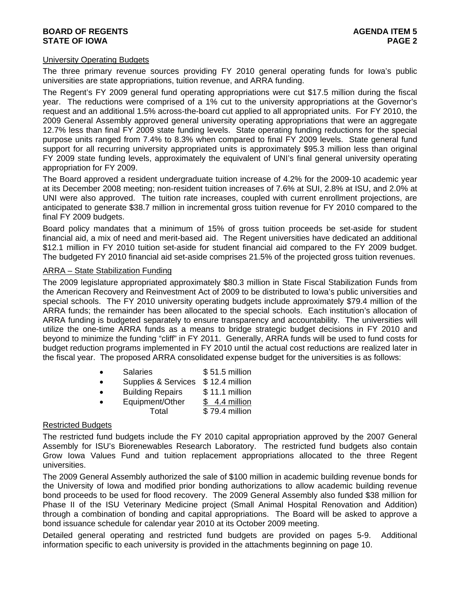## **BOARD OF REGENTS** AGENERATION OF REGENTS **STATE OF IOWA** PAGE 2

### University Operating Budgets

The three primary revenue sources providing FY 2010 general operating funds for Iowa's public universities are state appropriations, tuition revenue, and ARRA funding.

The Regent's FY 2009 general fund operating appropriations were cut \$17.5 million during the fiscal year. The reductions were comprised of a 1% cut to the university appropriations at the Governor's request and an additional 1.5% across-the-board cut applied to all appropriated units. For FY 2010, the 2009 General Assembly approved general university operating appropriations that were an aggregate 12.7% less than final FY 2009 state funding levels. State operating funding reductions for the special purpose units ranged from 7.4% to 8.3% when compared to final FY 2009 levels. State general fund support for all recurring university appropriated units is approximately \$95.3 million less than original FY 2009 state funding levels, approximately the equivalent of UNI's final general university operating appropriation for FY 2009.

The Board approved a resident undergraduate tuition increase of 4.2% for the 2009-10 academic year at its December 2008 meeting; non-resident tuition increases of 7.6% at SUI, 2.8% at ISU, and 2.0% at UNI were also approved. The tuition rate increases, coupled with current enrollment projections, are anticipated to generate \$38.7 million in incremental gross tuition revenue for FY 2010 compared to the final FY 2009 budgets.

Board policy mandates that a minimum of 15% of gross tuition proceeds be set-aside for student financial aid, a mix of need and merit-based aid. The Regent universities have dedicated an additional \$12.1 million in FY 2010 tuition set-aside for student financial aid compared to the FY 2009 budget. The budgeted FY 2010 financial aid set-aside comprises 21.5% of the projected gross tuition revenues.

#### ARRA – State Stabilization Funding

The 2009 legislature appropriated approximately \$80.3 million in State Fiscal Stabilization Funds from the American Recovery and Reinvestment Act of 2009 to be distributed to Iowa's public universities and special schools. The FY 2010 university operating budgets include approximately \$79.4 million of the ARRA funds; the remainder has been allocated to the special schools. Each institution's allocation of ARRA funding is budgeted separately to ensure transparency and accountability. The universities will utilize the one-time ARRA funds as a means to bridge strategic budget decisions in FY 2010 and beyond to minimize the funding "cliff" in FY 2011. Generally, ARRA funds will be used to fund costs for budget reduction programs implemented in FY 2010 until the actual cost reductions are realized later in the fiscal year. The proposed ARRA consolidated expense budget for the universities is as follows:

| <b>Salaries</b> | \$51.5 million |
|-----------------|----------------|
|                 |                |

|  | Supplies & Services \$12.4 million |  |
|--|------------------------------------|--|
|--|------------------------------------|--|

Building Repairs \$11.1 million

Equipment/Other \$4.4 million Total \$79.4 million

## Restricted Budgets

The restricted fund budgets include the FY 2010 capital appropriation approved by the 2007 General Assembly for ISU's Biorenewables Research Laboratory. The restricted fund budgets also contain Grow Iowa Values Fund and tuition replacement appropriations allocated to the three Regent universities.

The 2009 General Assembly authorized the sale of \$100 million in academic building revenue bonds for the University of Iowa and modified prior bonding authorizations to allow academic building revenue bond proceeds to be used for flood recovery. The 2009 General Assembly also funded \$38 million for Phase II of the ISU Veterinary Medicine project (Small Animal Hospital Renovation and Addition) through a combination of bonding and capital appropriations. The Board will be asked to approve a bond issuance schedule for calendar year 2010 at its October 2009 meeting.

Detailed general operating and restricted fund budgets are provided on pages 5-9. Additional information specific to each university is provided in the attachments beginning on page 10.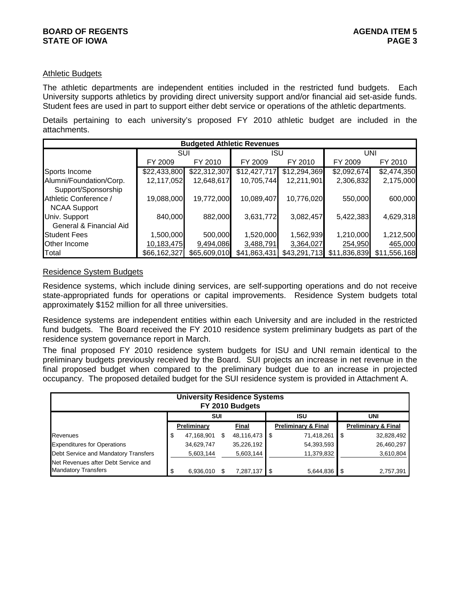## Athletic Budgets

The athletic departments are independent entities included in the restricted fund budgets. Each University supports athletics by providing direct university support and/or financial aid set-aside funds. Student fees are used in part to support either debt service or operations of the athletic departments.

Details pertaining to each university's proposed FY 2010 athletic budget are included in the attachments.

|                         |              |              | <b>Budgeted Athletic Revenues</b> |              |              |              |
|-------------------------|--------------|--------------|-----------------------------------|--------------|--------------|--------------|
|                         | SUI          |              | <b>ISU</b>                        |              |              | UNI          |
|                         | FY 2009      | FY 2010      | FY 2009                           | FY 2010      | FY 2009      | FY 2010      |
| Sports Income           | \$22,433,800 | \$22,312,307 | \$12,427,717                      | \$12,294,369 | \$2,092,674  | \$2,474,350  |
| Alumni/Foundation/Corp. | 12,117,052   | 12,648,617   | 10,705,744                        | 12,211,901   | 2,306,832    | 2,175,000    |
| Support/Sponsorship     |              |              |                                   |              |              |              |
| Athletic Conference /   | 19,088,000   | 19,772,000   | 10,089,407                        | 10,776,020   | 550,000      | 600,000      |
| <b>NCAA Support</b>     |              |              |                                   |              |              |              |
| Univ. Support           | 840,000      | 882,000      | 3,631,772                         | 3,082,457    | 5,422,383    | 4,629,318    |
| General & Financial Aid |              |              |                                   |              |              |              |
| <b>Student Fees</b>     | 1,500,000    | 500,000      | 1,520,000                         | 1,562,939    | 1,210,000    | 1,212,500    |
| Other Income            | 10,183,475   | 9,494,086    | 3,488,791                         | 3,364,027    | 254,950      | 465,000      |
| Total                   | \$66,162,327 | \$65,609,010 | \$41,863,431                      | \$43,291,713 | \$11,836,839 | \$11,556,168 |

## Residence System Budgets

Residence systems, which include dining services, are self-supporting operations and do not receive state-appropriated funds for operations or capital improvements. Residence System budgets total approximately \$152 million for all three universities.

Residence systems are independent entities within each University and are included in the restricted fund budgets. The Board received the FY 2010 residence system preliminary budgets as part of the residence system governance report in March.

The final proposed FY 2010 residence system budgets for ISU and UNI remain identical to the preliminary budgets previously received by the Board. SUI projects an increase in net revenue in the final proposed budget when compared to the preliminary budget due to an increase in projected occupancy. The proposed detailed budget for the SUI residence system is provided in Attachment A.

|                                      |   | <b>University Residence Systems</b> | FY 2010 Budgets     |                                |                                |
|--------------------------------------|---|-------------------------------------|---------------------|--------------------------------|--------------------------------|
|                                      |   | <b>SUI</b>                          |                     | ISU                            | <b>UNI</b>                     |
|                                      |   | Preliminary                         | Final               | <b>Preliminary &amp; Final</b> | <b>Preliminary &amp; Final</b> |
| Revenues                             | S | 47,168,901                          | \$<br>48,116,473 \$ | 71,418,261                     | 32,828,492                     |
| <b>Expenditures for Operations</b>   |   | 34,629,747                          | 35,226,192          | 54,393,593                     | 26,460,297                     |
| Debt Service and Mandatory Transfers |   | 5,603,144                           | 5,603,144           | 11,379,832                     | 3,610,804                      |
| Net Revenues after Debt Service and  |   |                                     |                     |                                |                                |
| <b>Mandatory Transfers</b>           |   | 6,936,010                           | 7,287,137           | 5,644,836                      | 2,757,391                      |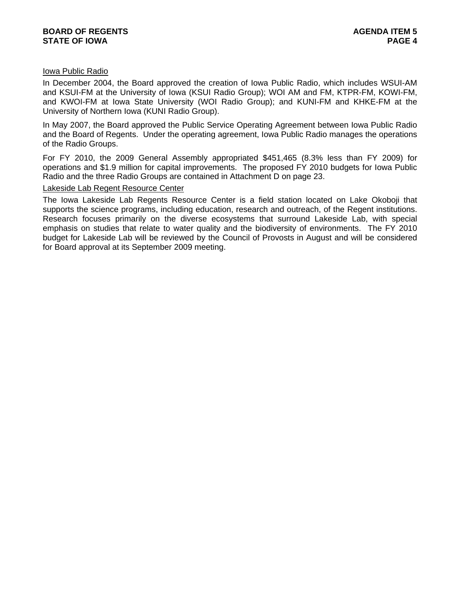## Iowa Public Radio

In December 2004, the Board approved the creation of Iowa Public Radio, which includes WSUI-AM and KSUI-FM at the University of Iowa (KSUI Radio Group); WOI AM and FM, KTPR-FM, KOWI-FM, and KWOI-FM at Iowa State University (WOI Radio Group); and KUNI-FM and KHKE-FM at the University of Northern Iowa (KUNI Radio Group).

In May 2007, the Board approved the Public Service Operating Agreement between Iowa Public Radio and the Board of Regents. Under the operating agreement, Iowa Public Radio manages the operations of the Radio Groups.

For FY 2010, the 2009 General Assembly appropriated \$451,465 (8.3% less than FY 2009) for operations and \$1.9 million for capital improvements. The proposed FY 2010 budgets for Iowa Public Radio and the three Radio Groups are contained in Attachment D on page 23.

#### Lakeside Lab Regent Resource Center

The Iowa Lakeside Lab Regents Resource Center is a field station located on Lake Okoboji that supports the science programs, including education, research and outreach, of the Regent institutions. Research focuses primarily on the diverse ecosystems that surround Lakeside Lab, with special emphasis on studies that relate to water quality and the biodiversity of environments. The FY 2010 budget for Lakeside Lab will be reviewed by the Council of Provosts in August and will be considered for Board approval at its September 2009 meeting.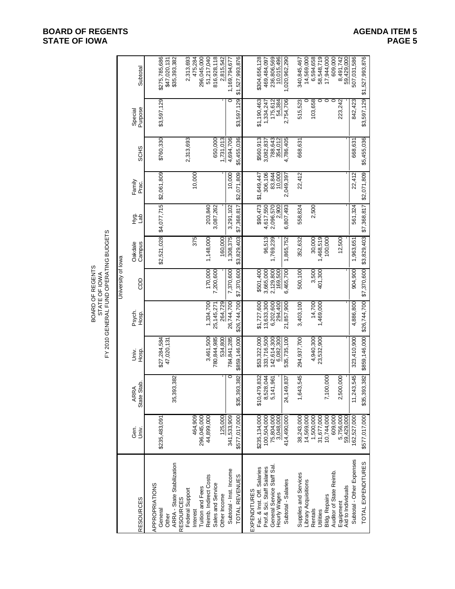# **BOARD OF REGENTS**<br> **BOARD OF REGENTS**<br> **BOARD OF IOWA**<br>
PAGE 5 **STATE OF IOWA**

|                                                                             |                    | Subtotal           | \$275,785,686<br>\$47,020,131<br>\$35,393,382                    | 2,313,693<br>475,284                            | 296,045,000<br>51,217,040                        | 816,928,118<br>2,815,542          | 1,169,794,677           | \$1,527,993,876   | \$304,656,128<br>469,484,097                                             | 236,806,569<br>10,015,496                 | 1,020,962,290       | 14,569,000<br>340,845,467                     | 6,594,658<br>58,548,719 | 17,944,000<br>609,000                    | 8,491,742<br>59,429,000         | 507,031,586               | \$1,527,993,876            |
|-----------------------------------------------------------------------------|--------------------|--------------------|------------------------------------------------------------------|-------------------------------------------------|--------------------------------------------------|-----------------------------------|-------------------------|-------------------|--------------------------------------------------------------------------|-------------------------------------------|---------------------|-----------------------------------------------|-------------------------|------------------------------------------|---------------------------------|---------------------------|----------------------------|
|                                                                             |                    | Purpose<br>Special | \$3,597,129                                                      |                                                 |                                                  |                                   | $\circ$                 | \$3,597,129       | \$1,190,463<br>1,334,247                                                 | 175,612<br>54,384                         | 2,754,706           | 515,523                                       | 103,658<br>0            | $\circ$<br>$\circ$                       | 223,242                         | 842,423                   | \$3,597,129                |
|                                                                             |                    | <b>SCHS</b>        | \$760,330                                                        | 2,313,693                                       |                                                  | 650,000<br>1,731,013              | 4,694,706               | \$5,455,036       | \$560,913<br>3,082,837                                                   | 788,643<br>354,012                        | 4,786,405           | 668,631                                       |                         |                                          |                                 | 668,631                   | \$5,455,036                |
|                                                                             |                    | Family<br>Prac.    | \$2,061,809                                                      | 10,000                                          |                                                  |                                   | 10,000                  | \$2,071,809       | 306,106<br>\$1,649,447                                                   | 83,844                                    | 2,049,397           | 22,412                                        |                         |                                          |                                 | 22,412                    | \$2,071,809                |
|                                                                             |                    | 호<br>도구<br>도구      | \$4,077,715                                                      |                                                 | 203,840                                          | 3,087,262                         | 3,291,102               | \$7,368,817       | \$90,473<br>4,617,550                                                    | 2,096,570<br>2,900                        | 6,807,493           | 558,824                                       | 2,500                   |                                          |                                 | 561,324                   | \$7,368,817                |
|                                                                             |                    | Oakdale<br>Campus  | \$2,521,028                                                      | 375                                             | 1,148,000                                        | 160,000                           | 1,308,375               | \$3,829,403       | 96,513                                                                   | 1,769,239                                 | 1,865,752           | 352,632                                       | 1,468,519<br>30,000     | 100,000                                  | 12,500                          | 1,963,651                 | \$7,370,600 \$3,829,403    |
| FY 2010 GENERAL FUND OPERATING BUDGETS<br>BOARD OF REGENTS<br>STATE OF IOWA | University of lowa | <b>GDD</b>         |                                                                  |                                                 | 170,000                                          | 7,200,600                         | 7,370,600               | \$7,370,600       | \$501,400<br>3,665,000                                                   | 2,129,800<br>169,500                      | 6,465,700           | 500,100                                       | 3,500<br>401,300        |                                          |                                 | 904,900                   |                            |
|                                                                             |                    | Psych.<br>Hosp.    |                                                                  |                                                 | 1,334,700                                        | 264,729<br>25, 145, 271           | 26,744,700              | \$26,744,700      | \$1,727,600<br>13,633,300                                                | 6,202,600<br>294,400                      | 21,857,900          | 3,403,100                                     | 14,700<br>1,469,000     |                                          |                                 | 4,886,800                 | \$26,744,700               |
|                                                                             |                    | Univ.<br>Hosp.     | \$27,284,584<br>47,020,131                                       |                                                 | 3,461,500                                        | 780,844,985<br>534,800            | 784,841,285             | \$859,146,000     | \$53,322,000<br>333,716,500                                              | 142,614,300<br>6,082,300                  | 535,735,100         | 294,937,700                                   | 4,940,300<br>23,532,900 |                                          |                                 | 323,410,900               | \$35,393,382 \$859,146,000 |
|                                                                             |                    | State Stab<br>ARRA | 35,393,382                                                       |                                                 |                                                  |                                   | C                       | 93,382<br>\$35,39 | \$10,479,832<br>8,528,044                                                | 5,141,961                                 | 24,149,837          | 1,643,545                                     |                         | 7,100,000                                | 2,500,000                       | 11,243,545                |                            |
|                                                                             |                    | Gen.<br>Univ.      | \$235,483,091                                                    | 464,909                                         | 44,899,000<br>296,045,000                        | 125,000                           | 341,533,909             | \$577,017,000     | \$235,134,000<br>100,504,000                                             | 75,804,000                                | 414,490,000         | 38,243,000<br>14,569,000                      | 1,500,000<br>31,677,000 | 10,744,000<br>609,000                    | 5,756,000                       | 162,527,000               | \$577,017,000              |
|                                                                             |                    | <b>RESOURCES</b>   | ARRA - State Stabilization<br>APPROPRIATIONS<br>General<br>Other | Federal Support<br><b>RESOURCES</b><br>Interest | Reimb. Indirect Costs<br><b>Tuition and Fees</b> | Sales and Service<br>Other Income | Subtotal - Inst. Income | TOTAL REVENUES    | Prof.& Sci. Staff Salaries<br>Fac. & Inst. Off. Salaries<br>EXPENDITURES | General Service Staff Sal<br>Hourly Wages | Subtotal - Salaries | Supplies and Services<br>Library Acquisitions | Rentals<br>Utilities    | Auditor of State Reimb.<br>Bldg. Repairs | Aid to Individuals<br>Equipment | Subtotal - Other Expenses | TOTAL EXPENDITURES         |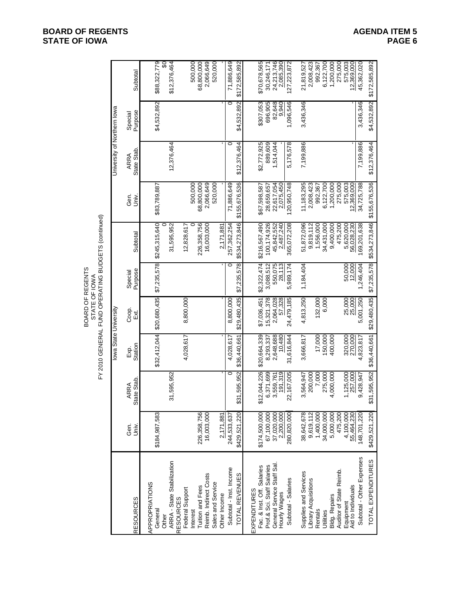|                                                              |                           |                        |                       | BOARD OF REGENTS<br>STATE OF IOWA |                    | FY 2010 GENERAL FUND OPERATING BUDGETS (continued) |                                    |                             |                    |                                         |
|--------------------------------------------------------------|---------------------------|------------------------|-----------------------|-----------------------------------|--------------------|----------------------------------------------------|------------------------------------|-----------------------------|--------------------|-----------------------------------------|
|                                                              |                           |                        | lowa State University |                                   |                    |                                                    |                                    | University of Northern lowa |                    |                                         |
| <b>RESOURCES</b>                                             | Gen.<br>Univ.             | State Stab<br>RRA<br>₹ | Station<br>Exp.       | Coop.<br>Ex                       | Purpose<br>Special | Subtotal                                           | Gen.<br>Univ.                      | State Stab<br>ARRA          | Purpose<br>Special | Subtotal                                |
| APPROPRIATIONS<br>General<br>Other                           | \$184,987,583             |                        | \$32,412,044          | \$20,680,435                      | \$7,235,578        | \$245,315,640                                      | \$83,789,887                       |                             | \$4,532,892        | \$88,322,779<br>$\overline{\mathbf{S}}$ |
| ARRA - State Stabilization<br><b>RESOURCES</b>               |                           | 595,952<br>31,         |                       |                                   |                    | 31,595,952                                         |                                    | 12,376,464                  |                    | \$12,376,464                            |
| Federal Support                                              |                           |                        | 4,028,617             | 8,800,000                         |                    | 12,828,617                                         |                                    |                             |                    |                                         |
| Reimb. Indirect Costs<br><b>Tuition and Fees</b><br>Interest | 226,358,756<br>16,003,000 |                        |                       |                                   |                    | 226,358,756<br>16,003,000                          | 500,000<br>68,800,000<br>2,066,649 |                             |                    | 500,000<br>2,066,649<br>68,800,000      |
| Sales and Service<br>Other Income                            | 2,171,881                 |                        |                       |                                   |                    | 2,171,881                                          | 520,000                            |                             |                    | 520,000                                 |
| Subtotal - Inst. Income                                      | 244,533,637               | O                      | 4,028,617             | 8,800,000                         | O                  | 257,362,254                                        | 71,886,649                         |                             | O                  | 71,886,649                              |
| TOTAL REVENUES                                               | \$429,521,220             | 595,952<br>\$31        | \$36,440,661          | \$29,480,435                      | \$7,235,578        | \$534,273,846                                      | \$155,676,536                      | \$12,376,464                | \$4,532,892        | \$172,585,892                           |
| Fac. & Inst. Off. Salaries<br>EXPENDITURES                   | \$174,500,000             | ,044,226<br>\$12,      | \$20,664,339          | \$7,036,451                       | \$2,322,474        | \$216,567,490                                      | \$67,598,587                       | \$2,772,925                 | \$307,053          | \$70,678,565                            |
| Prof.& Sci. Staff Salaries                                   | 67,100,000                | 6,371,699<br>3,559,761 | 8,293,337             | 15,321,378                        | 3,088,512          | 100, 174, 926                                      | 28,659,657                         | 889,609                     | 696,905            | 30,246,171                              |
| General Service Staff Sal.<br>Hourly Wages                   | 37,020,000                | 191,319                | 2,648,688<br>10,480   | 2,064,028<br>57,328               | 550,075<br>28,113  | 45,842,552<br>2,487,240                            | 22,617,054                         | 1,514,044                   | 82,648<br>9,940    | 24,213,746<br>2,085,390                 |
| Subtotal - Salaries                                          | 280,820,000               | 167,005<br>22,         | 31,616,844            | 24,479,185                        | 5,989,174          | 365,072,208                                        | 120,950,748                        | 5,176,578                   | 1,096,546          | 127,223,872                             |
| Supplies and Services<br>Library Acquisitions                | 38,642,678<br>9,619,112   | 200,000<br>3,564,947   | 3,666,817             | 4,813,250                         | 1,184,404          | 51,872,096<br>9,819,112                            | 11, 183, 295<br>2,008,423          | 7,199,886                   | 3,436,346          | 2,008,423<br>21,819,527                 |
| Rentals<br>Utilities                                         | 1,400,000<br>34,000,000   | 275,000<br>7,000       | 17,000<br>150,000     | 132,000<br>6,000                  |                    | 1,556,000<br>34,431,000                            | 6,122,700<br>992,367               |                             |                    | 6,122,700<br>992,367                    |
| <b>Bldg. Repairs</b>                                         | 5,000,000                 | 4,000,000              | 400,000               |                                   |                    | 9,400,000                                          | 1,200,000                          |                             |                    | 1,200,000                               |
| Auditor of State Reimb.                                      | 475,200                   |                        |                       |                                   |                    | 475,200                                            | 275,000                            |                             |                    | 275,000                                 |
| Aid to Individuals<br>Equipment                              | 4,100,000<br>55,464,230   | 1,125,000              | 320,000<br>270,000    | 25,000                            | 50,000<br>12,000   | 5,620,000<br>56,028,230                            | 575,003<br>12,369,000              |                             |                    | 575,003                                 |
| Subtotal - Other Expenses                                    | 148,701,220               | 9,428,947              | 4,823,817             | 5,001,250                         | 1,246,404          | 169,201,638                                        | 34,725,788                         | 7,199,886                   | 3,436,346          | 45,362,020                              |
| TOTAL EXPENDITURES                                           | \$429,521,220             | \$31,595,952           | \$36,440,661          | \$29,480,435                      | \$7,235,578        | \$534,273,846                                      | \$155,676,536                      | \$12,376,464                | \$4,532,892        | \$172,585,892                           |

# **BOARD OF REGENTS**<br> **BOARD OF REGENTS**<br> **BOARD OF IOWA**<br>
PAGE 6 **STATE OF IOWA**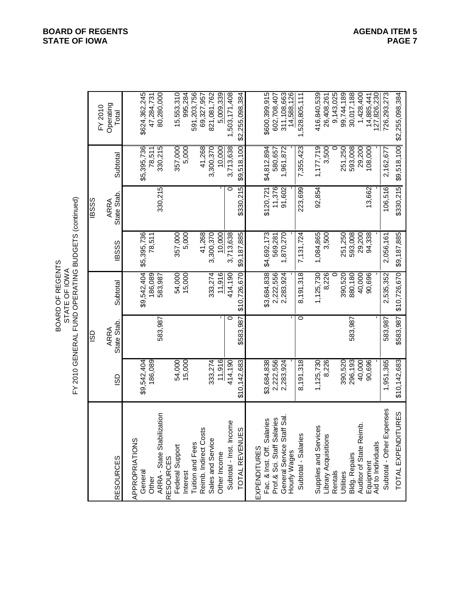| BOARD OF REGENTS | STATE OF IOW | 010 GENERAL FUND OPERATING BUDGETS (cont |
|------------------|--------------|------------------------------------------|
|------------------|--------------|------------------------------------------|

FY 2010 ARRA ARRA Operating RESOURCES ISD State Stab. Subtotal IBSSS State Stab. Subtotal Total APPROPRIATIONS General \$9,542,404 \$9,542,404 \$5,395,736 \$5,395,736 \$624,362,245 Other 186,089 186,089 78,511 78,511 47,284,731 ARRA - State Stabilization 583,987 583,987 330,215 330,215 80,280,000 RESOURCES Federal Support 54,000 54,000 357,000 357,000 15,553,310 Interest 15,000 15,000 5,000 5,000 995,284 Tuition and Fees 591,203,756 Reimb. Indirect Costs 41,268 41,268 69,327,957 Sales and Service 333,274 333,274 3,300,370 3,300,370 821,081,762 Other Income 11,916 - 11,916 10,000 - 10,000 5,009,339 Subtotal - Inst. Income 414,190 0 414,190 3,713,638 0 3,713,638 1,503,171,408 TOTAL REVENUES \$10,142,683 \$583,987 \$10,726,670 \$9,187,885 \$330,215 \$9,518,100 \$2,255,098,384 EXPENDITURES Fac. & Inst. Off. Salaries \$3,684,838 \$3,684,838 \$4,692,173 \$120,721 \$4,812,894 \$600,399,915 Prof.& Sci. Staff Salaries 2,222,556 2,222,556 569,281 11,376 580,657 602,708,407 General Service Staff Sal. 2,283,924 2,283,924 1,870,270 91,602 1,961,872 311,108,663 Hourly Wages - - - - - - 14,588,126 Subtotal - Salaries 8,191,318 0 8,191,318 7,131,724 223,699 7,355,423 1,528,805,111 Supplies and Services 1,125,730 1,125,730 1,084,865 92,854 1,177,719 416,840,539 Library Acquisitions 8,226 8,226 3,500 3,500 26,408,261 Rentals 0 0 9,143,025 Utilities 390,520 390,520 251,250 251,250 99,744,189 Bldg. Repairs 296,193 583,987 880,180 593,008 593,008 30,017,188 Auditor of State Reimb. 40,000 40,000 29,200 29,200 1,428,400 Equipment 90,696 90,696 94,338 13,662 108,000 14,885,441 Aid to Individuals - - - - - - 127,826,230 Subtotal - Other Expenses 1,951,365 583,987 2,535,352 2,056,161 106,516 2,162,677 726,293,273 TOTAL EXPENDITURES \$10,142,683 \$583,987 \$10,726,670 \$9,187,885 \$330,215 \$9,518,100 \$2,255,098,384 BOARD OF REGENTS STATE OF IOWA FY 2010 GENERAL FUND OPERATING BUDGETS (continued) ISD IBSSS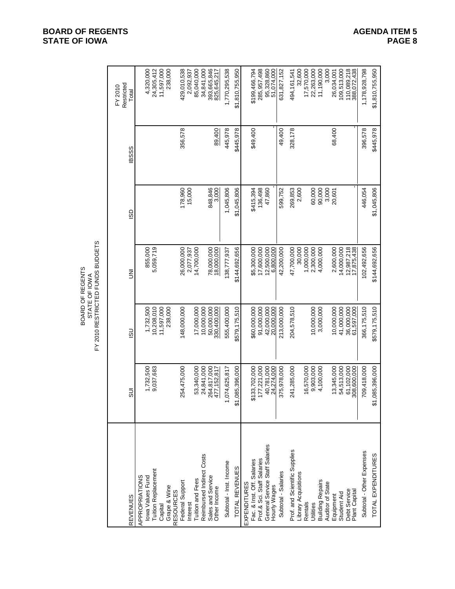|                                                                                                                              |                                                          |                                                        | FY 2010 RESTRICTED FUNDS BUDGETS<br>BOARD OF REGENTS<br>STATE OF IOWA |                                               |             |                                                                          |
|------------------------------------------------------------------------------------------------------------------------------|----------------------------------------------------------|--------------------------------------------------------|-----------------------------------------------------------------------|-----------------------------------------------|-------------|--------------------------------------------------------------------------|
| <b>REVENUES</b>                                                                                                              | $\overline{5}$                                           | <u>င</u> ္တ                                            | Ξ                                                                     | SD                                            | <b>BSSS</b> | Restricted<br>FY 2010<br>Total                                           |
| <b>Tuition Replacement</b><br>APPROPRIATIONS<br>lowa Values Fund<br>Grape & Wine<br>Capital                                  | 1,732,500<br>9,037,683                                   | 10,208,010<br>11,597,000<br>238,000<br>1,732,500       | 5,059,719<br>855,000                                                  |                                               |             | 24,305,412<br>11,597,000<br>238,000<br>4,320,000                         |
| Reimbursed Indirect Costs<br>Tuition and Fees<br>Federal Support<br><b>RESOURCES</b><br>Interest                             | 254,475,000<br>24,841,000<br>53,340,000                  | 10,000,000<br>148,000,000<br>17,000,000                | 26,000,000<br>14,700,000<br>2,077,937                                 | 178,960<br>15,000                             | 356,578     | 429,010,538<br>85,040,000<br>34,841,000<br>2,092,937                     |
| Sales and Service<br>Other Income                                                                                            | 264,817,000<br>477, 152, 817                             | 50,000,000<br>330,400,000                              | 78,000,000<br>18,000,000                                              | 848,846<br>3.000                              | 89,400      | 393,665,846<br>825,645,217                                               |
| Subtotal - Inst. Income                                                                                                      | 1,074,625,817                                            | 555,400,000                                            | 138,777,937                                                           | 1,045,806                                     | 445,978     | 1,770,295,538                                                            |
| TOTAL REVENUES                                                                                                               | 085,396,000<br><u>ಕ್</u>                                 | \$579,175,510                                          | \$144,692,656                                                         | \$1,045,806                                   | \$445,978   | \$1,810,755,950                                                          |
| General Service Staff Salaries<br>Fac. & Inst. Off. Salaries<br>Prof.& Sci. Staff Salaries<br>EXPENDITURES<br>Hourly Wages   | 177,221,000<br>40,781,000<br>\$133,702,000<br>24,274,000 | 91,000,000<br>42,000,000<br>\$60,000,000<br>20,000,000 | 17,600,000<br>12,500,000<br>\$5,300,000<br>6,800,000                  | 136,498<br>\$415,394<br>47,860                | \$49,400    | 285,957,498<br>95,328,860<br>51.074.000<br>\$199,466,794                 |
| Subtotal - Salaries                                                                                                          | 375,978,000                                              | 213,000,000                                            | 42,200,000                                                            | 599,752                                       | 49,400      | 631, 827, 152                                                            |
| Prof. and Scientific Supplies<br>Library Acquisitions<br><b>Building Repairs</b><br>Auditor of State<br>Rentals<br>Utilities | 241,285,000<br>16,570,000<br>9,903,000<br>4,100,000      | 204,578,510<br>10,000,000<br>3,000,000                 | 47,700,000<br>30,000<br>1,000,000<br>2,300,000<br>4,000,000           | 269,853<br>2,600<br>60,000<br>90,000<br>3,000 | 328,178     | 3,000<br>32,600<br>17,570,000<br>22,263,000<br>11,190,000<br>494,161,541 |
| Debt Service<br>Plant Capital<br>Student Aid<br>Equipment                                                                    | 61,102,000<br>308,600,000<br>13,345,000<br>54,513,000    | 10,000,000<br>41,000,000<br>36,000,000<br>61,597,000   | 14,000,000<br>12,987,218<br>17,875,438<br>2,600,000                   | 20,601                                        | 68,400      | 110,089,218<br>388,072,438<br>109,513,000<br>26,034,001                  |
| Subtotal - Other Expenses                                                                                                    | 709,418,000                                              | 366,175,510                                            | 102,492,656                                                           | 446,054                                       | 396,578     | 1,178,928,798                                                            |
| TOTAL EXPENDITURES                                                                                                           | \$1,085,396,000                                          | \$579,175,510                                          | \$144,692,656                                                         | \$1,045,806                                   | \$445,978   | \$1,810,755,950                                                          |

# **BOARD OF REGENTS**<br> **BOARD OF REGENTS**<br> **BOARD OF IOWA**<br>
PAGE 8 **STATE OF IOWA**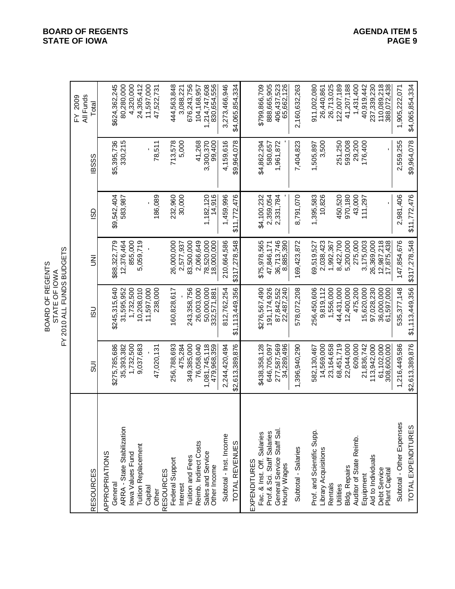| <b>RESOURCES</b>              | るの                           | <u>co</u>                | Ξ                        | င္ဟာ         | <b>BSSS</b> | All Funds<br>$\mathsf{FN}$ 2009<br>Total |  |
|-------------------------------|------------------------------|--------------------------|--------------------------|--------------|-------------|------------------------------------------|--|
| APPROPRIATIONS                |                              |                          |                          |              |             |                                          |  |
| General                       | \$275,785,686                | \$245,315,640            | \$88,322,779             | \$9,542,404  | \$5,395,736 | \$624,362,245                            |  |
| ARRA - State Stabilization    | 35,393,382                   | 31,595,952               | 12,376,464               | 583,987      | 330,215     | 80,280,000                               |  |
| lowa Values Fund              | 1,732,500                    | 1,732,500                | 855,000                  |              |             | 4,320,000                                |  |
| <b>Tuition Replacement</b>    | 9,037,683                    | 10,208,010               | 5,059,719                |              |             | 24,305,412                               |  |
| Capital                       |                              | 11,597,000               |                          |              |             | 11,597,000                               |  |
| Other                         | 47,020,131                   | 238,000                  |                          | 186,089      | 78,511      | 47,522,731                               |  |
| <b>RESOURCES</b>              |                              |                          |                          |              |             |                                          |  |
| Federal Support               | 256,788,693                  | 160,828,617              | 26,000,000               | 232,960      | 713,578     | 444,563,848                              |  |
| Interest                      | 475,284                      |                          | 2,577,937                | 30,000       | 5,000       | 3,088,221                                |  |
| Tuition and Fees              | 349,385,000                  | 243,358,756              | 83,500,000               |              |             | 676,243,756                              |  |
| Reimb. Indirect Costs         | 76,058,040                   | 26,003,000               | 2,066,649                |              | 41,268      | 104,168,957                              |  |
| Sales and Service             | 1,081,745,118<br>479,968,359 | 50,000,000               | 78,520,000<br>18,000,000 | 1,182,120    | 3,300,370   | 1,214,747,608                            |  |
| Other Income                  |                              | 332,571,881              |                          | 14,916       | 99,400      | 830,654,556                              |  |
| Subtotal - Inst. Income       | 2,244,420,494                | 812,762,254              | 210,664,586              | 1,459,996    | 4,159,616   | 3,273,466,946                            |  |
| TOTAL REVENUES                | \$2,613,389,876              | \$1,113,449,356          | \$317,278,548            | \$11,772,476 | \$9,964,078 | \$4,065,854,334                          |  |
| EXPENDITURES                  |                              |                          |                          |              |             |                                          |  |
| Fac. & Inst. Off. Salaries    | \$438,358,128                | \$276,567,490            | \$75,978,565             | \$4,100,232  | \$4,862,294 | \$799,866,709                            |  |
| Prof.& Sci. Staff Salaries    | 646,705,097                  | 191, 174, 926            | 47,846,171               | 2,359,054    | 580,657     | 888,665,905                              |  |
| General Service Staff Sal.    | 277,587,569                  | 87,842,552               | 36,713,746               | 2,331,784    | 1,961,872   | 406,437,523                              |  |
| Hourly Wages                  | 34,289,496                   | 22,487,240               | 8,885,390                |              |             | 65,662,126                               |  |
| Subtotal - Salaries           | 1,396,940,290                | 578,072,208              | 169,423,872              | 8,791,070    | 7,404,823   | 2,160,632,263                            |  |
| Prof. and Scientific Supp.    | 582,130,467                  | 256,450,606              | 69,519,527               | 1,395,583    | 1,505,897   | 911,002,080                              |  |
| Library Acquisitions          | 14,569,000                   | 9,819,112                | 2,038,423                | 10,826       | 3,500       | 26,440,861                               |  |
| Rentals                       | 23,164,658                   | 1,556,000                | 1,992,367                |              |             | 26,713,025                               |  |
| Utilities                     | 68,451,719                   | 44,431,000               | 8,422,700                | 450,520      | 251,250     | 122,007,189                              |  |
| Bldg. Repairs                 | 22,044,000                   | 12,400,000               | 5,200,000                | 970,180      | 593,008     | 41,207,188                               |  |
| Auditor of State Reimb.       | 609,000                      | 475,200                  | 275,000                  | 43,000       | 29,200      | 1,431,400                                |  |
| Equipment                     | 21,836,742                   | 15,620,000               | 3,175,003                | 111,297      | 176,400     | 40,919,442                               |  |
| Aid to Individuals            | 113,942,000                  | 97,028,230               | 26,369,000               |              |             | 237,339,230                              |  |
| Debt Service<br>Plant Capital | 61,102,000<br>308,600,000    | 36,000,000<br>61,597,000 | 12,987,218<br>17,875,438 |              |             | 110,089,218<br>388,072,438               |  |
|                               |                              |                          |                          |              |             |                                          |  |
| Subtotal - Other Expenses     | 1,216,449,586                | 535, 377, 148            | 147,854,676              | 2,981,406    | 2,559,255   | 1,905,222,071                            |  |
| TOTAL EXPENDITURES            | \$2,613,389,876              | \$1,113,449,356          | \$317,278,548            | \$11,772,476 | \$9,964,078 | \$4,065,854,334                          |  |

**BOARD OF REGENTS**<br> **BOARD OF REGENTS**<br> **BOARD OF IOWA**<br>
PAGE 9 **STATE OF IOWA**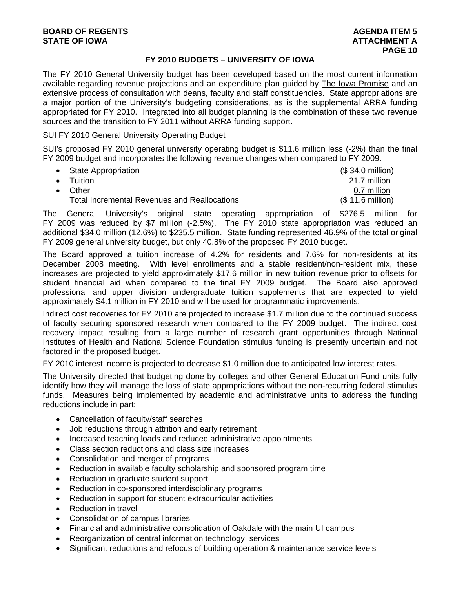## **FY 2010 BUDGETS – UNIVERSITY OF IOWA**

The FY 2010 General University budget has been developed based on the most current information available regarding revenue projections and an expenditure plan guided by The Iowa Promise and an extensive process of consultation with deans, faculty and staff constituencies. State appropriations are a major portion of the University's budgeting considerations, as is the supplemental ARRA funding appropriated for FY 2010. Integrated into all budget planning is the combination of these two revenue sources and the transition to FY 2011 without ARRA funding support.

## SUI FY 2010 General University Operating Budget

SUI's proposed FY 2010 general university operating budget is \$11.6 million less (-2%) than the final FY 2009 budget and incorporates the following revenue changes when compared to FY 2009.

| • State Appropriation                               | $($34.0 \text{ million})$ |
|-----------------------------------------------------|---------------------------|
| $\bullet$ Tuition                                   | 21.7 million              |
| $\bullet$ Other                                     | 0.7 million               |
| <b>Total Incremental Revenues and Reallocations</b> | (\$ 11.6 million)         |

The General University's original state operating appropriation of \$276.5 million for FY 2009 was reduced by \$7 million (-2.5%). The FY 2010 state appropriation was reduced an additional \$34.0 million (12.6%) to \$235.5 million. State funding represented 46.9% of the total original FY 2009 general university budget, but only 40.8% of the proposed FY 2010 budget.

The Board approved a tuition increase of 4.2% for residents and 7.6% for non-residents at its December 2008 meeting. With level enrollments and a stable resident/non-resident mix, these increases are projected to yield approximately \$17.6 million in new tuition revenue prior to offsets for student financial aid when compared to the final FY 2009 budget. The Board also approved professional and upper division undergraduate tuition supplements that are expected to yield approximately \$4.1 million in FY 2010 and will be used for programmatic improvements.

Indirect cost recoveries for FY 2010 are projected to increase \$1.7 million due to the continued success of faculty securing sponsored research when compared to the FY 2009 budget. The indirect cost recovery impact resulting from a large number of research grant opportunities through National Institutes of Health and National Science Foundation stimulus funding is presently uncertain and not factored in the proposed budget.

FY 2010 interest income is projected to decrease \$1.0 million due to anticipated low interest rates.

The University directed that budgeting done by colleges and other General Education Fund units fully identify how they will manage the loss of state appropriations without the non-recurring federal stimulus funds. Measures being implemented by academic and administrative units to address the funding reductions include in part:

- Cancellation of faculty/staff searches
- Job reductions through attrition and early retirement
- Increased teaching loads and reduced administrative appointments
- Class section reductions and class size increases
- Consolidation and merger of programs
- Reduction in available faculty scholarship and sponsored program time
- Reduction in graduate student support
- Reduction in co-sponsored interdisciplinary programs
- Reduction in support for student extracurricular activities
- Reduction in travel
- Consolidation of campus libraries
- Financial and administrative consolidation of Oakdale with the main UI campus
- Reorganization of central information technology services
- Significant reductions and refocus of building operation & maintenance service levels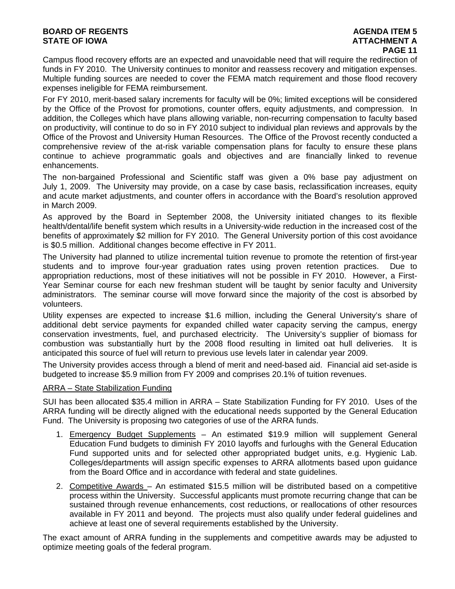## **BOARD OF REGENTS AGENTS** AGENDA ITEM 5 **STATE OF IOWA AND RESERVE A LOCAL CONSUMING A LOCAL CONSUMING A LOCAL CONSUMING A LOCAL CONSUMING A LOCAL CONSUMING A LOCAL CONSUMING A LOCAL CONSUMING A LOCAL CONSUMING A LOCAL CONSUMING A LOCAL CONSUMING A LOCAL CONSUMI**

Campus flood recovery efforts are an expected and unavoidable need that will require the redirection of funds in FY 2010. The University continues to monitor and reassess recovery and mitigation expenses. Multiple funding sources are needed to cover the FEMA match requirement and those flood recovery expenses ineligible for FEMA reimbursement.

For FY 2010, merit-based salary increments for faculty will be 0%; limited exceptions will be considered by the Office of the Provost for promotions, counter offers, equity adjustments, and compression. In addition, the Colleges which have plans allowing variable, non-recurring compensation to faculty based on productivity, will continue to do so in FY 2010 subject to individual plan reviews and approvals by the Office of the Provost and University Human Resources. The Office of the Provost recently conducted a comprehensive review of the at-risk variable compensation plans for faculty to ensure these plans continue to achieve programmatic goals and objectives and are financially linked to revenue enhancements.

The non-bargained Professional and Scientific staff was given a 0% base pay adjustment on July 1, 2009. The University may provide, on a case by case basis, reclassification increases, equity and acute market adjustments, and counter offers in accordance with the Board's resolution approved in March 2009.

As approved by the Board in September 2008, the University initiated changes to its flexible health/dental/life benefit system which results in a University-wide reduction in the increased cost of the benefits of approximately \$2 million for FY 2010. The General University portion of this cost avoidance is \$0.5 million. Additional changes become effective in FY 2011.

The University had planned to utilize incremental tuition revenue to promote the retention of first-year students and to improve four-year graduation rates using proven retention practices. Due to appropriation reductions, most of these initiatives will not be possible in FY 2010. However, a First-Year Seminar course for each new freshman student will be taught by senior faculty and University administrators. The seminar course will move forward since the majority of the cost is absorbed by volunteers.

Utility expenses are expected to increase \$1.6 million, including the General University's share of additional debt service payments for expanded chilled water capacity serving the campus, energy conservation investments, fuel, and purchased electricity. The University's supplier of biomass for combustion was substantially hurt by the 2008 flood resulting in limited oat hull deliveries. It is anticipated this source of fuel will return to previous use levels later in calendar year 2009.

The University provides access through a blend of merit and need-based aid. Financial aid set-aside is budgeted to increase \$5.9 million from FY 2009 and comprises 20.1% of tuition revenues.

## ARRA – State Stabilization Funding

SUI has been allocated \$35.4 million in ARRA – State Stabilization Funding for FY 2010. Uses of the ARRA funding will be directly aligned with the educational needs supported by the General Education Fund. The University is proposing two categories of use of the ARRA funds.

- 1. Emergency Budget Supplements An estimated \$19.9 million will supplement General Education Fund budgets to diminish FY 2010 layoffs and furloughs with the General Education Fund supported units and for selected other appropriated budget units, e.g. Hygienic Lab. Colleges/departments will assign specific expenses to ARRA allotments based upon guidance from the Board Office and in accordance with federal and state guidelines.
- 2. Competitive Awards An estimated \$15.5 million will be distributed based on a competitive process within the University. Successful applicants must promote recurring change that can be sustained through revenue enhancements, cost reductions, or reallocations of other resources available in FY 2011 and beyond. The projects must also qualify under federal guidelines and achieve at least one of several requirements established by the University.

The exact amount of ARRA funding in the supplements and competitive awards may be adjusted to optimize meeting goals of the federal program.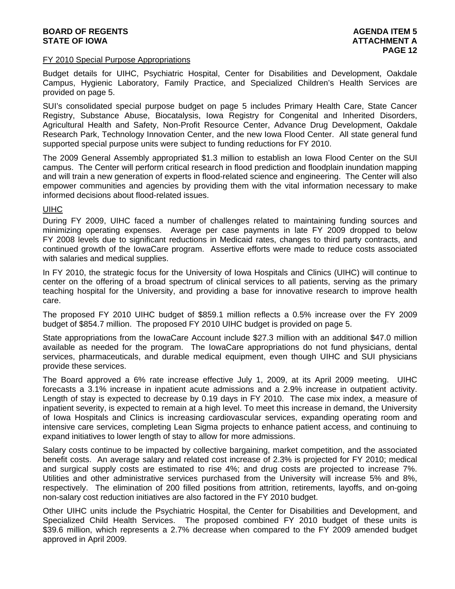## **BOARD OF REGENTS AGENERAL LIGHT CONSUMING A SERIES AGENDA ITEM 5 STATE OF IOWA ATTACHMENT A**

#### FY 2010 Special Purpose Appropriations

Budget details for UIHC, Psychiatric Hospital, Center for Disabilities and Development, Oakdale Campus, Hygienic Laboratory, Family Practice, and Specialized Children's Health Services are provided on page 5.

SUI's consolidated special purpose budget on page 5 includes Primary Health Care, State Cancer Registry, Substance Abuse, Biocatalysis, Iowa Registry for Congenital and Inherited Disorders, Agricultural Health and Safety, Non-Profit Resource Center, Advance Drug Development, Oakdale Research Park, Technology Innovation Center, and the new Iowa Flood Center. All state general fund supported special purpose units were subject to funding reductions for FY 2010.

The 2009 General Assembly appropriated \$1.3 million to establish an Iowa Flood Center on the SUI campus. The Center will perform critical research in flood prediction and floodplain inundation mapping and will train a new generation of experts in flood-related science and engineering. The Center will also empower communities and agencies by providing them with the vital information necessary to make informed decisions about flood-related issues.

## UIHC

During FY 2009, UIHC faced a number of challenges related to maintaining funding sources and minimizing operating expenses. Average per case payments in late FY 2009 dropped to below FY 2008 levels due to significant reductions in Medicaid rates, changes to third party contracts, and continued growth of the IowaCare program. Assertive efforts were made to reduce costs associated with salaries and medical supplies.

In FY 2010, the strategic focus for the University of Iowa Hospitals and Clinics (UIHC) will continue to center on the offering of a broad spectrum of clinical services to all patients, serving as the primary teaching hospital for the University, and providing a base for innovative research to improve health care.

The proposed FY 2010 UIHC budget of \$859.1 million reflects a 0.5% increase over the FY 2009 budget of \$854.7 million. The proposed FY 2010 UIHC budget is provided on page 5.

State appropriations from the IowaCare Account include \$27.3 million with an additional \$47.0 million available as needed for the program. The IowaCare appropriations do not fund physicians, dental services, pharmaceuticals, and durable medical equipment, even though UIHC and SUI physicians provide these services.

The Board approved a 6% rate increase effective July 1, 2009, at its April 2009 meeting. UIHC forecasts a 3.1% increase in inpatient acute admissions and a 2.9% increase in outpatient activity. Length of stay is expected to decrease by 0.19 days in FY 2010. The case mix index, a measure of inpatient severity, is expected to remain at a high level. To meet this increase in demand, the University of Iowa Hospitals and Clinics is increasing cardiovascular services, expanding operating room and intensive care services, completing Lean Sigma projects to enhance patient access, and continuing to expand initiatives to lower length of stay to allow for more admissions.

Salary costs continue to be impacted by collective bargaining, market competition, and the associated benefit costs. An average salary and related cost increase of 2.3% is projected for FY 2010; medical and surgical supply costs are estimated to rise 4%; and drug costs are projected to increase 7%. Utilities and other administrative services purchased from the University will increase 5% and 8%, respectively. The elimination of 200 filled positions from attrition, retirements, layoffs, and on-going non-salary cost reduction initiatives are also factored in the FY 2010 budget.

Other UIHC units include the Psychiatric Hospital, the Center for Disabilities and Development, and Specialized Child Health Services. The proposed combined FY 2010 budget of these units is \$39.6 million, which represents a 2.7% decrease when compared to the FY 2009 amended budget approved in April 2009.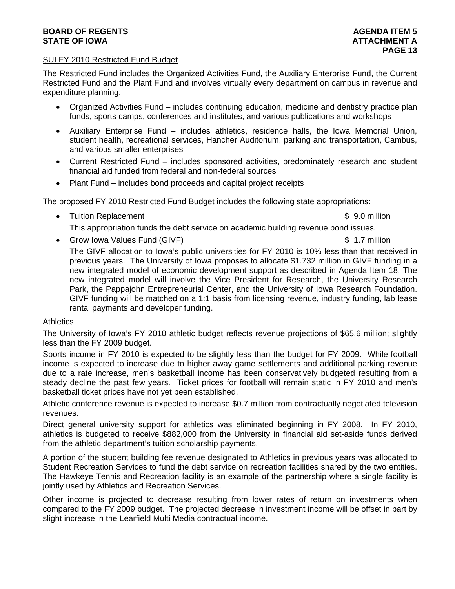## **BOARD OF REGENTS** AGENERATION OF REGENTS **STATE OF IOWA AND RESERVE A LOCAL CONSUMING A LOCAL CONSUMING A LOCAL CONSUMING A LOCAL CONSUMING A LOCAL CONSUMING A LOCAL CONSUMING A LOCAL CONSUMING A LOCAL CONSUMING A LOCAL CONSUMING A LOCAL CONSUMING A LOCAL CONSUMI**

## SUI FY 2010 Restricted Fund Budget

The Restricted Fund includes the Organized Activities Fund, the Auxiliary Enterprise Fund, the Current Restricted Fund and the Plant Fund and involves virtually every department on campus in revenue and expenditure planning.

- Organized Activities Fund includes continuing education, medicine and dentistry practice plan funds, sports camps, conferences and institutes, and various publications and workshops
- Auxiliary Enterprise Fund includes athletics, residence halls, the Iowa Memorial Union, student health, recreational services, Hancher Auditorium, parking and transportation, Cambus, and various smaller enterprises
- Current Restricted Fund includes sponsored activities, predominately research and student financial aid funded from federal and non-federal sources
- Plant Fund includes bond proceeds and capital project receipts

The proposed FY 2010 Restricted Fund Budget includes the following state appropriations:

• Tuition Replacement **\$ 9.0 million** 

This appropriation funds the debt service on academic building revenue bond issues.

• Grow Iowa Values Fund (GIVF)  $\sim$  8 1.7 million

The GIVF allocation to Iowa's public universities for FY 2010 is 10% less than that received in previous years. The University of Iowa proposes to allocate \$1.732 million in GIVF funding in a new integrated model of economic development support as described in Agenda Item 18. The new integrated model will involve the Vice President for Research, the University Research Park, the Pappajohn Entrepreneurial Center, and the University of Iowa Research Foundation. GIVF funding will be matched on a 1:1 basis from licensing revenue, industry funding, lab lease rental payments and developer funding.

## **Athletics**

The University of Iowa's FY 2010 athletic budget reflects revenue projections of \$65.6 million; slightly less than the FY 2009 budget.

Sports income in FY 2010 is expected to be slightly less than the budget for FY 2009. While football income is expected to increase due to higher away game settlements and additional parking revenue due to a rate increase, men's basketball income has been conservatively budgeted resulting from a steady decline the past few years. Ticket prices for football will remain static in FY 2010 and men's basketball ticket prices have not yet been established.

Athletic conference revenue is expected to increase \$0.7 million from contractually negotiated television revenues.

Direct general university support for athletics was eliminated beginning in FY 2008. In FY 2010, athletics is budgeted to receive \$882,000 from the University in financial aid set-aside funds derived from the athletic department's tuition scholarship payments.

A portion of the student building fee revenue designated to Athletics in previous years was allocated to Student Recreation Services to fund the debt service on recreation facilities shared by the two entities. The Hawkeye Tennis and Recreation facility is an example of the partnership where a single facility is jointly used by Athletics and Recreation Services.

Other income is projected to decrease resulting from lower rates of return on investments when compared to the FY 2009 budget. The projected decrease in investment income will be offset in part by slight increase in the Learfield Multi Media contractual income.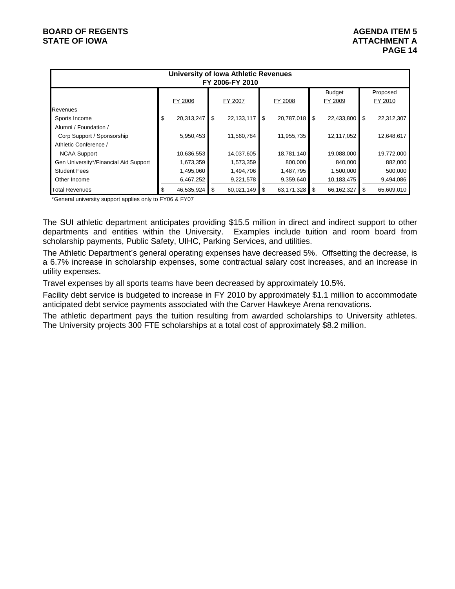| <b>University of Iowa Athletic Revenues</b><br>FY 2006-FY 2010 |    |            |      |              |    |               |                |               |    |            |
|----------------------------------------------------------------|----|------------|------|--------------|----|---------------|----------------|---------------|----|------------|
|                                                                |    |            |      |              |    |               |                | <b>Budget</b> |    | Proposed   |
|                                                                |    | FY 2006    |      | FY 2007      |    | FY 2008       | FY 2009        |               |    | FY 2010    |
| Revenues                                                       |    |            |      |              |    |               |                |               |    |            |
| Sports Income                                                  | \$ | 20,313,247 | \$   | 22, 133, 117 | \$ | 20,787,018    | $\overline{1}$ | 22,433,800    | \$ | 22,312,307 |
| Alumni / Foundation /                                          |    |            |      |              |    |               |                |               |    |            |
| Corp Support / Sponsorship                                     |    | 5,950,453  |      | 11,560,784   |    | 11,955,735    |                | 12,117,052    |    | 12,648,617 |
| Athletic Conference /                                          |    |            |      |              |    |               |                |               |    |            |
| <b>NCAA Support</b>                                            |    | 10,636,553 |      | 14,037,605   |    | 18,781,140    |                | 19,088,000    |    | 19,772,000 |
| Gen University*/Financial Aid Support                          |    | 1,673,359  |      | 1,573,359    |    | 800.000       |                | 840,000       |    | 882,000    |
| <b>Student Fees</b>                                            |    | 1,495,060  |      | 1,494,706    |    | 1,487,795     |                | 1,500,000     |    | 500,000    |
| Other Income                                                   |    | 6,467,252  |      | 9,221,578    |    | 9,359,640     |                | 10,183,475    |    | 9,494,086  |
| Total Revenues                                                 | S  | 46,535,924 | - \$ | 60,021,149   | \$ | 63,171,328 \$ |                | 66,162,327    | S  | 65,609,010 |

\*General university support applies only to FY06 & FY07

The SUI athletic department anticipates providing \$15.5 million in direct and indirect support to other departments and entities within the University. Examples include tuition and room board from scholarship payments, Public Safety, UIHC, Parking Services, and utilities.

The Athletic Department's general operating expenses have decreased 5%. Offsetting the decrease, is a 6.7% increase in scholarship expenses, some contractual salary cost increases, and an increase in utility expenses.

Travel expenses by all sports teams have been decreased by approximately 10.5%.

Facility debt service is budgeted to increase in FY 2010 by approximately \$1.1 million to accommodate anticipated debt service payments associated with the Carver Hawkeye Arena renovations.

The athletic department pays the tuition resulting from awarded scholarships to University athletes. The University projects 300 FTE scholarships at a total cost of approximately \$8.2 million.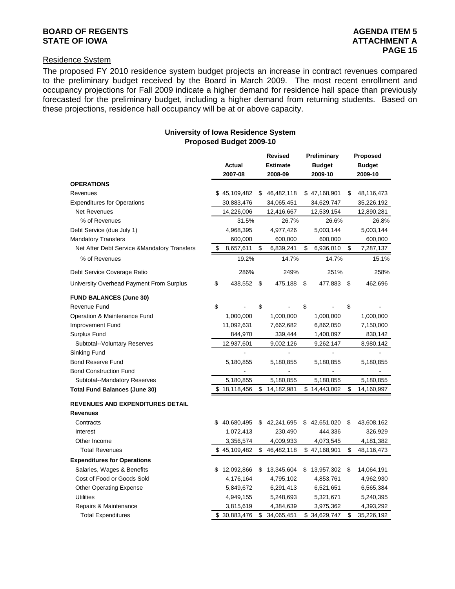## **BOARD OF REGENTS AGENUS AGENERATION CONSUMING A LIGHT AGENERATION AGENERATION AGENUAL ITEM 5 STATE OF IOWA ATTACHMENT A**

## Residence System

The proposed FY 2010 residence system budget projects an increase in contract revenues compared to the preliminary budget received by the Board in March 2009. The most recent enrollment and occupancy projections for Fall 2009 indicate a higher demand for residence hall space than previously forecasted for the preliminary budget, including a higher demand from returning students. Based on these projections, residence hall occupancy will be at or above capacity.

### **University of Iowa Residence System Proposed Budget 2009-10**

|                                              |    | <b>Revised</b> |    | Preliminary     |               | Proposed     |    |               |
|----------------------------------------------|----|----------------|----|-----------------|---------------|--------------|----|---------------|
|                                              |    | <b>Actual</b>  |    | <b>Estimate</b> | <b>Budget</b> |              |    | <b>Budget</b> |
|                                              |    | 2007-08        |    | 2008-09         |               | 2009-10      |    | 2009-10       |
| <b>OPERATIONS</b>                            |    |                |    |                 |               |              |    |               |
| Revenues                                     |    | \$45,109,482   | \$ | 46,482,118      |               | \$47,168,901 | \$ | 48,116,473    |
| <b>Expenditures for Operations</b>           |    | 30,883,476     |    | 34,065,451      |               | 34,629,747   |    | 35,226,192    |
| <b>Net Revenues</b>                          |    | 14,226,006     |    | 12,416,667      |               | 12,539,154   |    | 12,890,281    |
| % of Revenues                                |    | 31.5%          |    | 26.7%           |               | 26.6%        |    | 26.8%         |
| Debt Service (due July 1)                    |    | 4,968,395      |    | 4,977,426       |               | 5,003,144    |    | 5,003,144     |
| <b>Mandatory Transfers</b>                   |    | 600,000        |    | 600,000         |               | 600,000      |    | 600,000       |
| Net After Debt Service & Mandatory Transfers | \$ | 8,657,611      | \$ | 6,839,241       | \$            | 6,936,010    | \$ | 7,287,137     |
| % of Revenues                                |    | 19.2%          |    | 14.7%           |               | 14.7%        |    | 15.1%         |
| Debt Service Coverage Ratio                  |    | 286%           |    | 249%            |               | 251%         |    | 258%          |
| University Overhead Payment From Surplus     | \$ | 438,552        | \$ | 475,188         | \$            | 477,883      | \$ | 462,696       |
| <b>FUND BALANCES (June 30)</b>               |    |                |    |                 |               |              |    |               |
| Revenue Fund                                 | \$ |                | \$ |                 | \$            |              | \$ |               |
| Operation & Maintenance Fund                 |    | 1,000,000      |    | 1,000,000       |               | 1,000,000    |    | 1,000,000     |
| Improvement Fund                             |    | 11,092,631     |    | 7,662,682       |               | 6,862,050    |    | 7,150,000     |
| Surplus Fund                                 |    | 844,970        |    | 339,444         |               | 1,400,097    |    | 830,142       |
| Subtotal--Voluntary Reserves                 |    | 12,937,601     |    | 9,002,126       |               | 9,262,147    |    | 8,980,142     |
| Sinking Fund                                 |    |                |    |                 |               |              |    |               |
| <b>Bond Reserve Fund</b>                     |    | 5,180,855      |    | 5,180,855       |               | 5,180,855    |    | 5,180,855     |
| <b>Bond Construction Fund</b>                |    |                |    |                 |               |              |    |               |
| Subtotal--Mandatory Reserves                 |    | 5,180,855      |    | 5,180,855       |               | 5,180,855    |    | 5,180,855     |
| <b>Total Fund Balances (June 30)</b>         |    | \$18,118,456   | \$ | 14,182,981      |               | \$14,443,002 | \$ | 14,160,997    |
| <b>REVENUES AND EXPENDITURES DETAIL</b>      |    |                |    |                 |               |              |    |               |
| <b>Revenues</b>                              |    |                |    |                 |               |              |    |               |
| Contracts                                    | \$ | 40,680,495     | S  | 42,241,695      | \$            | 42,651,020   | \$ | 43,608,162    |
| Interest                                     |    | 1,072,413      |    | 230,490         |               | 444,336      |    | 326,929       |
| Other Income                                 |    | 3,356,574      |    | 4,009,933       |               | 4,073,545    |    | 4,181,382     |
| <b>Total Revenues</b>                        |    | \$45,109,482   | \$ | 46,482,118      |               | \$47,168,901 | \$ | 48,116,473    |
| <b>Expenditures for Operations</b>           |    |                |    |                 |               |              |    |               |
| Salaries, Wages & Benefits                   | S  | 12,092,866     | \$ | 13,345,604      | S.            | 13,957,302   | \$ | 14,064,191    |
| Cost of Food or Goods Sold                   |    | 4,176,164      |    | 4,795,102       |               | 4,853,761    |    | 4,962,930     |
| <b>Other Operating Expense</b>               |    | 5,849,672      |    | 6,291,413       |               | 6,521,651    |    | 6,565,384     |
| <b>Utilities</b>                             |    | 4,949,155      |    | 5,248,693       |               | 5,321,671    |    | 5,240,395     |
| Repairs & Maintenance                        |    | 3,815,619      |    | 4,384,639       |               | 3,975,362    |    | 4,393,292     |
| <b>Total Expenditures</b>                    |    | \$30,883,476   | \$ | 34,065,451      |               | \$34,629,747 | \$ | 35,226,192    |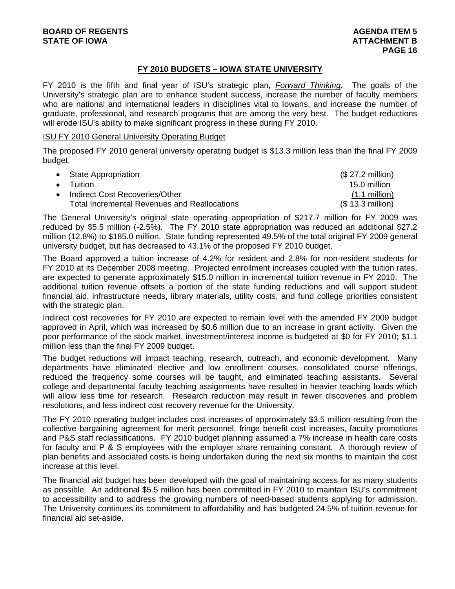# **FY 2010 BUDGETS – IOWA STATE UNIVERSITY**

FY 2010 is the fifth and final year of ISU's strategic plan**,** *Forward Thinking***.** The goals of the University's strategic plan are to enhance student success, increase the number of faculty members who are national and international leaders in disciplines vital to Iowans, and increase the number of graduate, professional, and research programs that are among the very best. The budget reductions will erode ISU's ability to make significant progress in these during FY 2010.

#### ISU FY 2010 General University Operating Budget

The proposed FY 2010 general university operating budget is \$13.3 million less than the final FY 2009 budget.

| • State Appropriation                               | $($27.2 \text{ million})$ |
|-----------------------------------------------------|---------------------------|
| $\bullet$ Tuition                                   | 15.0 million              |
| • Indirect Cost Recoveries/Other                    | <u>(1.1 million)</u>      |
| <b>Total Incremental Revenues and Reallocations</b> | (\$ 13.3 million)         |

The General University's original state operating appropriation of \$217.7 million for FY 2009 was reduced by \$5.5 million (-2.5%). The FY 2010 state appropriation was reduced an additional \$27.2 million (12.8%) to \$185.0 million. State funding represented 49.5% of the total original FY 2009 general university budget, but has decreased to 43.1% of the proposed FY 2010 budget.

The Board approved a tuition increase of 4.2% for resident and 2.8% for non-resident students for FY 2010 at its December 2008 meeting. Projected enrollment increases coupled with the tuition rates, are expected to generate approximately \$15.0 million in incremental tuition revenue in FY 2010. The additional tuition revenue offsets a portion of the state funding reductions and will support student financial aid, infrastructure needs, library materials, utility costs, and fund college priorities consistent with the strategic plan.

Indirect cost recoveries for FY 2010 are expected to remain level with the amended FY 2009 budget approved in April, which was increased by \$0.6 million due to an increase in grant activity. Given the poor performance of the stock market, investment/interest income is budgeted at \$0 for FY 2010; \$1.1 million less than the final FY 2009 budget.

The budget reductions will impact teaching, research, outreach, and economic development. Many departments have eliminated elective and low enrollment courses, consolidated course offerings, reduced the frequency some courses will be taught, and eliminated teaching assistants. Several college and departmental faculty teaching assignments have resulted in heavier teaching loads which will allow less time for research. Research reduction may result in fewer discoveries and problem resolutions, and less indirect cost recovery revenue for the University.

The FY 2010 operating budget includes cost increases of approximately \$3.5 million resulting from the collective bargaining agreement for merit personnel, fringe benefit cost increases, faculty promotions and P&S staff reclassifications. FY 2010 budget planning assumed a 7% increase in health care costs for faculty and P & S employees with the employer share remaining constant. A thorough review of plan benefits and associated costs is being undertaken during the next six months to maintain the cost increase at this level.

The financial aid budget has been developed with the goal of maintaining access for as many students as possible. An additional \$5.5 million has been committed in FY 2010 to maintain ISU's commitment to accessibility and to address the growing numbers of need-based students applying for admission. The University continues its commitment to affordability and has budgeted 24.5% of tuition revenue for financial aid set-aside.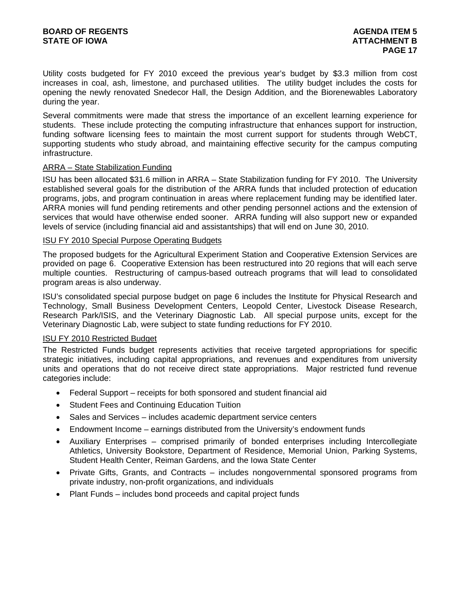Utility costs budgeted for FY 2010 exceed the previous year's budget by \$3.3 million from cost increases in coal, ash, limestone, and purchased utilities. The utility budget includes the costs for opening the newly renovated Snedecor Hall, the Design Addition, and the Biorenewables Laboratory during the year.

Several commitments were made that stress the importance of an excellent learning experience for students. These include protecting the computing infrastructure that enhances support for instruction, funding software licensing fees to maintain the most current support for students through WebCT, supporting students who study abroad, and maintaining effective security for the campus computing infrastructure.

## ARRA – State Stabilization Funding

ISU has been allocated \$31.6 million in ARRA – State Stabilization funding for FY 2010. The University established several goals for the distribution of the ARRA funds that included protection of education programs, jobs, and program continuation in areas where replacement funding may be identified later. ARRA monies will fund pending retirements and other pending personnel actions and the extension of services that would have otherwise ended sooner. ARRA funding will also support new or expanded levels of service (including financial aid and assistantships) that will end on June 30, 2010.

## ISU FY 2010 Special Purpose Operating Budgets

The proposed budgets for the Agricultural Experiment Station and Cooperative Extension Services are provided on page 6. Cooperative Extension has been restructured into 20 regions that will each serve multiple counties. Restructuring of campus-based outreach programs that will lead to consolidated program areas is also underway.

ISU's consolidated special purpose budget on page 6 includes the Institute for Physical Research and Technology, Small Business Development Centers, Leopold Center, Livestock Disease Research, Research Park/ISIS, and the Veterinary Diagnostic Lab. All special purpose units, except for the Veterinary Diagnostic Lab, were subject to state funding reductions for FY 2010.

## ISU FY 2010 Restricted Budget

The Restricted Funds budget represents activities that receive targeted appropriations for specific strategic initiatives, including capital appropriations, and revenues and expenditures from university units and operations that do not receive direct state appropriations. Major restricted fund revenue categories include:

- Federal Support receipts for both sponsored and student financial aid
- Student Fees and Continuing Education Tuition
- Sales and Services includes academic department service centers
- Endowment Income earnings distributed from the University's endowment funds
- Auxiliary Enterprises comprised primarily of bonded enterprises including Intercollegiate Athletics, University Bookstore, Department of Residence, Memorial Union, Parking Systems, Student Health Center, Reiman Gardens, and the Iowa State Center
- Private Gifts, Grants, and Contracts includes nongovernmental sponsored programs from private industry, non-profit organizations, and individuals
- Plant Funds includes bond proceeds and capital project funds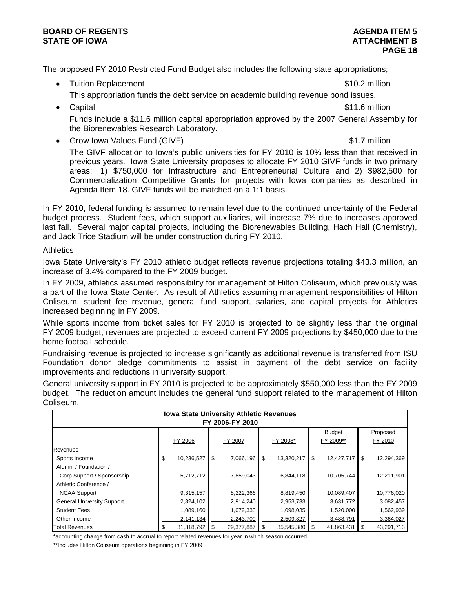## **BOARD OF REGENTS** AGENERATION OF REGENTS **STATE OF IOWA** AND **BULGARY ATTACHMENT B**

The proposed FY 2010 Restricted Fund Budget also includes the following state appropriations;

- Tuition Replacement **\$10.2 million** 
	-
	- This appropriation funds the debt service on academic building revenue bond issues.
- Capital \$11.6 million Funds include a \$11.6 million capital appropriation approved by the 2007 General Assembly for the Biorenewables Research Laboratory.
- Grow Iowa Values Fund (GIVF)  $\sim$  81.7 million

The GIVF allocation to Iowa's public universities for FY 2010 is 10% less than that received in previous years. Iowa State University proposes to allocate FY 2010 GIVF funds in two primary areas: 1) \$750,000 for Infrastructure and Entrepreneurial Culture and 2) \$982,500 for Commercialization Competitive Grants for projects with Iowa companies as described in Agenda Item 18. GIVF funds will be matched on a 1:1 basis.

In FY 2010, federal funding is assumed to remain level due to the continued uncertainty of the Federal budget process. Student fees, which support auxiliaries, will increase 7% due to increases approved last fall. Several major capital projects, including the Biorenewables Building, Hach Hall (Chemistry), and Jack Trice Stadium will be under construction during FY 2010.

## **Athletics**

Iowa State University's FY 2010 athletic budget reflects revenue projections totaling \$43.3 million, an increase of 3.4% compared to the FY 2009 budget.

In FY 2009, athletics assumed responsibility for management of Hilton Coliseum, which previously was a part of the Iowa State Center. As result of Athletics assuming management responsibilities of Hilton Coliseum, student fee revenue, general fund support, salaries, and capital projects for Athletics increased beginning in FY 2009.

While sports income from ticket sales for FY 2010 is projected to be slightly less than the original FY 2009 budget, revenues are projected to exceed current FY 2009 projections by \$450,000 due to the home football schedule.

Fundraising revenue is projected to increase significantly as additional revenue is transferred from ISU Foundation donor pledge commitments to assist in payment of the debt service on facility improvements and reductions in university support.

General university support in FY 2010 is projected to be approximately \$550,000 less than the FY 2009 budget. The reduction amount includes the general fund support related to the management of Hilton Coliseum.

| <b>Iowa State University Athletic Revenues</b><br>FY 2006-FY 2010 |    |            |    |            |    |            |     |                            |    |                     |
|-------------------------------------------------------------------|----|------------|----|------------|----|------------|-----|----------------------------|----|---------------------|
|                                                                   |    | FY 2006    |    | FY 2007    |    | FY 2008*   |     | <b>Budget</b><br>FY 2009** |    | Proposed<br>FY 2010 |
| <b>Revenues</b>                                                   |    |            |    |            |    |            |     |                            |    |                     |
| Sports Income                                                     | \$ | 10,236,527 | \$ | 7,066,196  | \$ | 13,320,217 | \$  | 12,427,717                 | \$ | 12,294,369          |
| Alumni / Foundation /                                             |    |            |    |            |    |            |     |                            |    |                     |
| Corp Support / Sponsorship                                        |    | 5,712,712  |    | 7,859,043  |    | 6,844,118  |     | 10,705,744                 |    | 12,211,901          |
| Athletic Conference /                                             |    |            |    |            |    |            |     |                            |    |                     |
| <b>NCAA Support</b>                                               |    | 9,315,157  |    | 8,222,366  |    | 8,819,450  |     | 10,089,407                 |    | 10,776,020          |
| <b>General University Support</b>                                 |    | 2,824,102  |    | 2,914,240  |    | 2,953,733  |     | 3,631,772                  |    | 3,082,457           |
| <b>Student Fees</b>                                               |    | 1,089,160  |    | 1,072,333  |    | 1,098,035  |     | 1,520,000                  |    | 1,562,939           |
| Other Income                                                      |    | 2,141,134  |    | 2,243,709  |    | 2,509,827  |     | 3,488,791                  |    | 3,364,027           |
| <b>Total Revenues</b>                                             |    | 31,318,792 | \$ | 29,377,887 | \$ | 35,545,380 | \$. | 41,863,431                 | S  | 43,291,713          |

\*accounting change from cash to accrual to report related revenues for year in which season occurred

\*\*Includes Hilton Coliseum operations beginning in FY 2009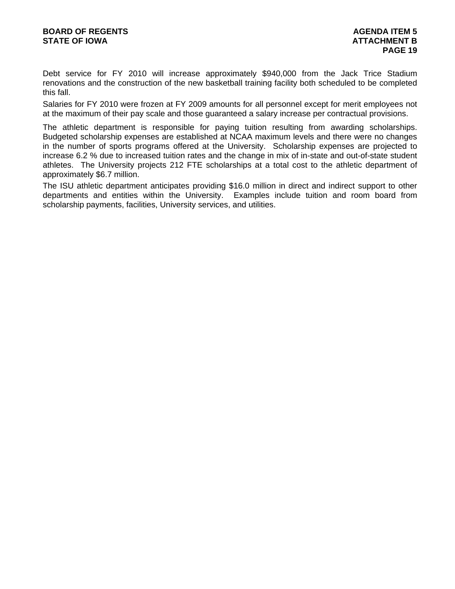Debt service for FY 2010 will increase approximately \$940,000 from the Jack Trice Stadium renovations and the construction of the new basketball training facility both scheduled to be completed this fall.

Salaries for FY 2010 were frozen at FY 2009 amounts for all personnel except for merit employees not at the maximum of their pay scale and those guaranteed a salary increase per contractual provisions.

The athletic department is responsible for paying tuition resulting from awarding scholarships. Budgeted scholarship expenses are established at NCAA maximum levels and there were no changes in the number of sports programs offered at the University. Scholarship expenses are projected to increase 6.2 % due to increased tuition rates and the change in mix of in-state and out-of-state student athletes. The University projects 212 FTE scholarships at a total cost to the athletic department of approximately \$6.7 million.

The ISU athletic department anticipates providing \$16.0 million in direct and indirect support to other departments and entities within the University. Examples include tuition and room board from scholarship payments, facilities, University services, and utilities.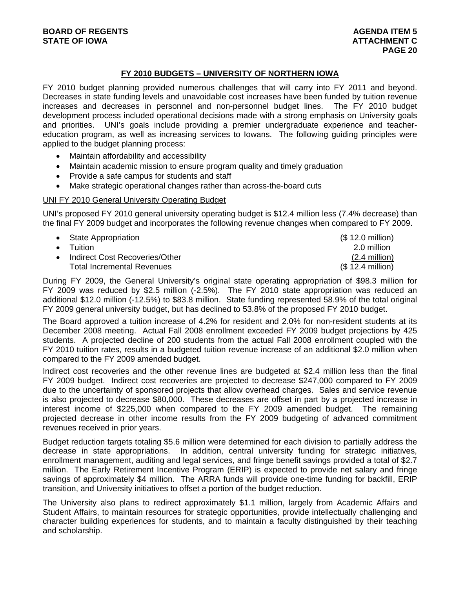# **FY 2010 BUDGETS – UNIVERSITY OF NORTHERN IOWA**

FY 2010 budget planning provided numerous challenges that will carry into FY 2011 and beyond. Decreases in state funding levels and unavoidable cost increases have been funded by tuition revenue increases and decreases in personnel and non-personnel budget lines. The FY 2010 budget development process included operational decisions made with a strong emphasis on University goals and priorities. UNI's goals include providing a premier undergraduate experience and teachereducation program, as well as increasing services to Iowans. The following guiding principles were applied to the budget planning process:

- Maintain affordability and accessibility
- Maintain academic mission to ensure program quality and timely graduation
- Provide a safe campus for students and staff
- Make strategic operational changes rather than across-the-board cuts

## UNI FY 2010 General University Operating Budget

UNI's proposed FY 2010 general university operating budget is \$12.4 million less (7.4% decrease) than the final FY 2009 budget and incorporates the following revenue changes when compared to FY 2009.

• State Appropriation (\$ 12.0 million) • Tuition 2.0 million Indirect Cost Recoveries/Other (2.4 million) Total Incremental Revenues (\$ 12.4 million)

During FY 2009, the General University's original state operating appropriation of \$98.3 million for FY 2009 was reduced by \$2.5 million (-2.5%). The FY 2010 state appropriation was reduced an additional \$12.0 million (-12.5%) to \$83.8 million. State funding represented 58.9% of the total original FY 2009 general university budget, but has declined to 53.8% of the proposed FY 2010 budget.

The Board approved a tuition increase of 4.2% for resident and 2.0% for non-resident students at its December 2008 meeting. Actual Fall 2008 enrollment exceeded FY 2009 budget projections by 425 students. A projected decline of 200 students from the actual Fall 2008 enrollment coupled with the FY 2010 tuition rates, results in a budgeted tuition revenue increase of an additional \$2.0 million when compared to the FY 2009 amended budget.

Indirect cost recoveries and the other revenue lines are budgeted at \$2.4 million less than the final FY 2009 budget. Indirect cost recoveries are projected to decrease \$247,000 compared to FY 2009 due to the uncertainty of sponsored projects that allow overhead charges. Sales and service revenue is also projected to decrease \$80,000. These decreases are offset in part by a projected increase in interest income of \$225,000 when compared to the FY 2009 amended budget. The remaining projected decrease in other income results from the FY 2009 budgeting of advanced commitment revenues received in prior years.

Budget reduction targets totaling \$5.6 million were determined for each division to partially address the decrease in state appropriations. In addition, central university funding for strategic initiatives, enrollment management, auditing and legal services, and fringe benefit savings provided a total of \$2.7 million. The Early Retirement Incentive Program (ERIP) is expected to provide net salary and fringe savings of approximately \$4 million. The ARRA funds will provide one-time funding for backfill, ERIP transition, and University initiatives to offset a portion of the budget reduction.

The University also plans to redirect approximately \$1.1 million, largely from Academic Affairs and Student Affairs, to maintain resources for strategic opportunities, provide intellectually challenging and character building experiences for students, and to maintain a faculty distinguished by their teaching and scholarship.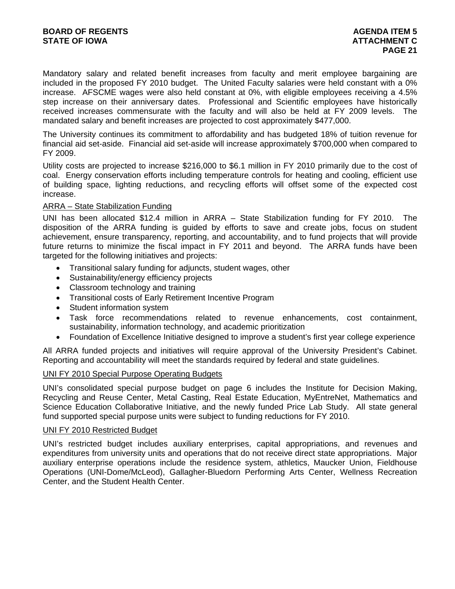Mandatory salary and related benefit increases from faculty and merit employee bargaining are included in the proposed FY 2010 budget. The United Faculty salaries were held constant with a 0% increase. AFSCME wages were also held constant at 0%, with eligible employees receiving a 4.5% step increase on their anniversary dates. Professional and Scientific employees have historically received increases commensurate with the faculty and will also be held at FY 2009 levels. The mandated salary and benefit increases are projected to cost approximately \$477,000.

The University continues its commitment to affordability and has budgeted 18% of tuition revenue for financial aid set-aside. Financial aid set-aside will increase approximately \$700,000 when compared to FY 2009.

Utility costs are projected to increase \$216,000 to \$6.1 million in FY 2010 primarily due to the cost of coal. Energy conservation efforts including temperature controls for heating and cooling, efficient use of building space, lighting reductions, and recycling efforts will offset some of the expected cost increase.

## ARRA – State Stabilization Funding

UNI has been allocated \$12.4 million in ARRA – State Stabilization funding for FY 2010. The disposition of the ARRA funding is guided by efforts to save and create jobs, focus on student achievement, ensure transparency, reporting, and accountability, and to fund projects that will provide future returns to minimize the fiscal impact in FY 2011 and beyond. The ARRA funds have been targeted for the following initiatives and projects:

- Transitional salary funding for adjuncts, student wages, other
- Sustainability/energy efficiency projects
- Classroom technology and training
- Transitional costs of Early Retirement Incentive Program
- Student information system
- Task force recommendations related to revenue enhancements, cost containment, sustainability, information technology, and academic prioritization
- Foundation of Excellence Initiative designed to improve a student's first year college experience

All ARRA funded projects and initiatives will require approval of the University President's Cabinet. Reporting and accountability will meet the standards required by federal and state guidelines.

## UNI FY 2010 Special Purpose Operating Budgets

UNI's consolidated special purpose budget on page 6 includes the Institute for Decision Making, Recycling and Reuse Center, Metal Casting, Real Estate Education, MyEntreNet, Mathematics and Science Education Collaborative Initiative, and the newly funded Price Lab Study. All state general fund supported special purpose units were subject to funding reductions for FY 2010.

### UNI FY 2010 Restricted Budget

UNI's restricted budget includes auxiliary enterprises, capital appropriations, and revenues and expenditures from university units and operations that do not receive direct state appropriations. Major auxiliary enterprise operations include the residence system, athletics, Maucker Union, Fieldhouse Operations (UNI-Dome/McLeod), Gallagher-Bluedorn Performing Arts Center, Wellness Recreation Center, and the Student Health Center.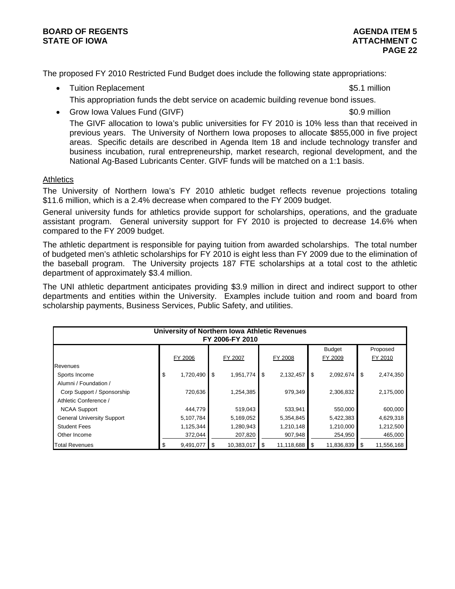The proposed FY 2010 Restricted Fund Budget does include the following state appropriations:

National Ag-Based Lubricants Center. GIVF funds will be matched on a 1:1 basis.

- Tuition Replacement **\$5.1 million** This appropriation funds the debt service on academic building revenue bond issues.
- Grow Iowa Values Fund (GIVF)  $\sim$  60.9 million The GIVF allocation to Iowa's public universities for FY 2010 is 10% less than that received in previous years. The University of Northern Iowa proposes to allocate \$855,000 in five project areas. Specific details are described in Agenda Item 18 and include technology transfer and business incubation, rural entrepreneurship, market research, regional development, and the

## **Athletics**

The University of Northern Iowa's FY 2010 athletic budget reflects revenue projections totaling \$11.6 million, which is a 2.4% decrease when compared to the FY 2009 budget.

General university funds for athletics provide support for scholarships, operations, and the graduate assistant program. General university support for FY 2010 is projected to decrease 14.6% when compared to the FY 2009 budget.

The athletic department is responsible for paying tuition from awarded scholarships. The total number of budgeted men's athletic scholarships for FY 2010 is eight less than FY 2009 due to the elimination of the baseball program. The University projects 187 FTE scholarships at a total cost to the athletic department of approximately \$3.4 million.

The UNI athletic department anticipates providing \$3.9 million in direct and indirect support to other departments and entities within the University. Examples include tuition and room and board from scholarship payments, Business Services, Public Safety, and utilities.

| University of Northern Iowa Athletic Revenues<br>FY 2006-FY 2010 |                 |    |            |    |            |   |               |    |            |  |
|------------------------------------------------------------------|-----------------|----|------------|----|------------|---|---------------|----|------------|--|
|                                                                  |                 |    |            |    |            |   | <b>Budget</b> |    | Proposed   |  |
|                                                                  | FY 2006         |    | FY 2007    |    | FY 2008    |   | FY 2009       |    | FY 2010    |  |
| <b>Revenues</b>                                                  |                 |    |            |    |            |   |               |    |            |  |
| Sports Income                                                    | \$<br>1,720,490 | \$ | 1,951,774  | \$ | 2,132,457  | S | 2,092,674     | \$ | 2,474,350  |  |
| Alumni / Foundation /                                            |                 |    |            |    |            |   |               |    |            |  |
| Corp Support / Sponsorship                                       | 720,636         |    | 1,254,385  |    | 979,349    |   | 2,306,832     |    | 2,175,000  |  |
| Athletic Conference /                                            |                 |    |            |    |            |   |               |    |            |  |
| <b>NCAA Support</b>                                              | 444,779         |    | 519,043    |    | 533,941    |   | 550,000       |    | 600,000    |  |
| <b>General University Support</b>                                | 5,107,784       |    | 5,169,052  |    | 5,354,845  |   | 5,422,383     |    | 4,629,318  |  |
| <b>Student Fees</b>                                              | 1,125,344       |    | 1,280,943  |    | 1,210,148  |   | 1,210,000     |    | 1,212,500  |  |
| Other Income                                                     | 372,044         |    | 207,820    |    | 907,948    |   | 254,950       |    | 465,000    |  |
| <b>Total Revenues</b>                                            | 9,491,077       | \$ | 10,383,017 | \$ | 11,118,688 |   | 11,836,839    | \$ | 11,556,168 |  |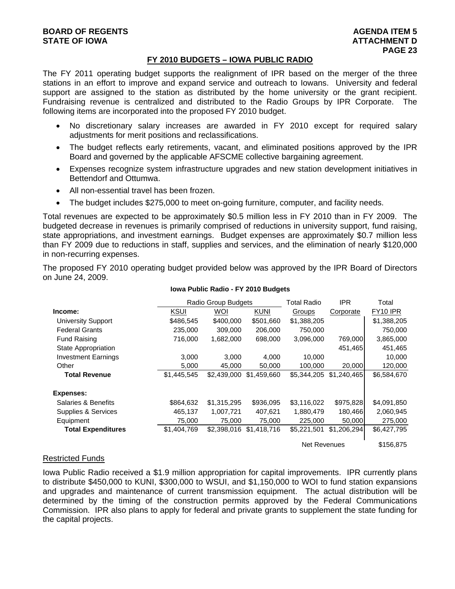## **FY 2010 BUDGETS – IOWA PUBLIC RADIO**

The FY 2011 operating budget supports the realignment of IPR based on the merger of the three stations in an effort to improve and expand service and outreach to Iowans. University and federal support are assigned to the station as distributed by the home university or the grant recipient. Fundraising revenue is centralized and distributed to the Radio Groups by IPR Corporate. The following items are incorporated into the proposed FY 2010 budget.

- No discretionary salary increases are awarded in FY 2010 except for required salary adjustments for merit positions and reclassifications.
- The budget reflects early retirements, vacant, and eliminated positions approved by the IPR Board and governed by the applicable AFSCME collective bargaining agreement.
- Expenses recognize system infrastructure upgrades and new station development initiatives in Bettendorf and Ottumwa.
- All non-essential travel has been frozen.
- The budget includes \$275,000 to meet on-going furniture, computer, and facility needs.

Total revenues are expected to be approximately \$0.5 million less in FY 2010 than in FY 2009. The budgeted decrease in revenues is primarily comprised of reductions in university support, fund raising, state appropriations, and investment earnings. Budget expenses are approximately \$0.7 million less than FY 2009 due to reductions in staff, supplies and services, and the elimination of nearly \$120,000 in non-recurring expenses.

The proposed FY 2010 operating budget provided below was approved by the IPR Board of Directors on June 24, 2009.

|                            |             | Radio Group Budgets |             | <b>Total Radio</b>  | <b>IPR</b>  | Total       |
|----------------------------|-------------|---------------------|-------------|---------------------|-------------|-------------|
| Income:                    | <b>KSUI</b> | WOI                 | <b>KUNI</b> | Groups              | Corporate   | FY10 IPR    |
| <b>University Support</b>  | \$486,545   | \$400,000           | \$501,660   | \$1,388,205         |             | \$1,388,205 |
| <b>Federal Grants</b>      | 235,000     | 309,000             | 206,000     | 750,000             |             | 750,000     |
| <b>Fund Raising</b>        | 716,000     | 1,682,000           | 698,000     | 3,096,000           | 769,000     | 3,865,000   |
| State Appropriation        |             |                     |             |                     | 451,465     | 451,465     |
| <b>Investment Earnings</b> | 3,000       | 3,000               | 4,000       | 10.000              |             | 10,000      |
| Other                      | 5.000       | 45.000              | 50,000      | 100,000             | 20,000      | 120,000     |
| <b>Total Revenue</b>       | \$1,445,545 | \$2,439,000         | \$1.459.660 | \$5,344,205         | \$1,240,465 | \$6,584,670 |
| <b>Expenses:</b>           |             |                     |             |                     |             |             |
| Salaries & Benefits        | \$864.632   | \$1,315,295         | \$936,095   | \$3,116,022         | \$975,828   | \$4,091,850 |
| Supplies & Services        | 465,137     | 1,007,721           | 407,621     | 1,880,479           | 180,466     | 2,060,945   |
| Equipment                  | 75,000      | 75,000              | 75,000      | 225,000             | 50,000      | 275,000     |
| <b>Total Expenditures</b>  | \$1,404,769 | \$2,398,016         | \$1,418,716 | \$5,221,501         | \$1,206,294 | \$6,427,795 |
|                            |             |                     |             | <b>Net Revenues</b> |             | \$156,875   |

#### **Iowa Public Radio - FY 2010 Budgets**

## Restricted Funds

Iowa Public Radio received a \$1.9 million appropriation for capital improvements. IPR currently plans to distribute \$450,000 to KUNI, \$300,000 to WSUI, and \$1,150,000 to WOI to fund station expansions and upgrades and maintenance of current transmission equipment. The actual distribution will be determined by the timing of the construction permits approved by the Federal Communications Commission. IPR also plans to apply for federal and private grants to supplement the state funding for the capital projects.